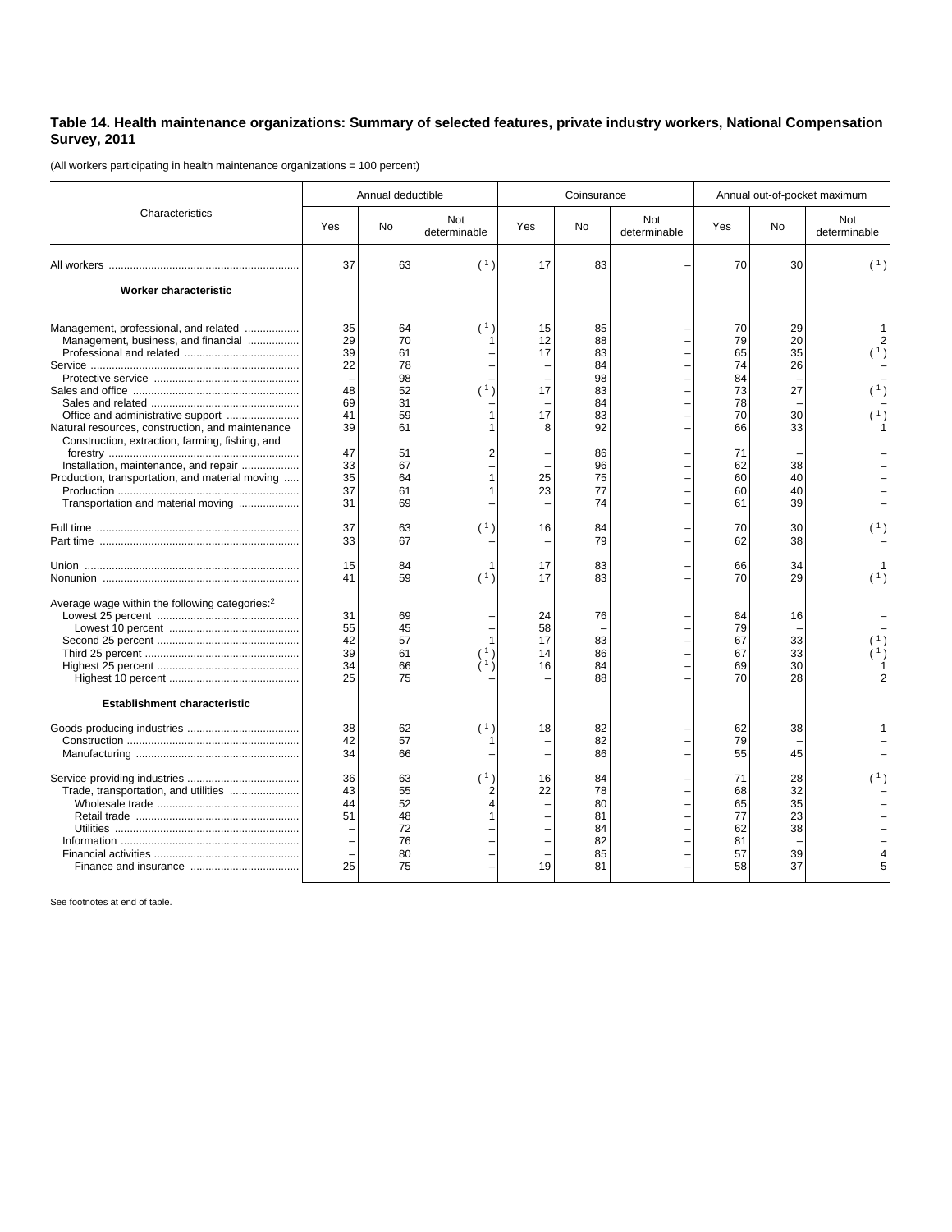## **Table 14. Health maintenance organizations: Summary of selected features, private industry workers, National Compensation Survey, 2011**

(All workers participating in health maintenance organizations = 100 percent)

| Characteristics                                                                                                                                                                   |                                  | Annual deductible                            |                     |                            | Coinsurance                                  |                     | Annual out-of-pocket maximum                 |                                        |                     |
|-----------------------------------------------------------------------------------------------------------------------------------------------------------------------------------|----------------------------------|----------------------------------------------|---------------------|----------------------------|----------------------------------------------|---------------------|----------------------------------------------|----------------------------------------|---------------------|
|                                                                                                                                                                                   | Yes                              | No                                           | Not<br>determinable | Yes                        | No                                           | Not<br>determinable | Yes                                          | No                                     | Not<br>determinable |
|                                                                                                                                                                                   | 37                               | 63                                           | (1)                 | 17                         | 83                                           |                     | 70                                           | 30                                     | (1)                 |
| Worker characteristic                                                                                                                                                             |                                  |                                              |                     |                            |                                              |                     |                                              |                                        |                     |
| Management, professional, and related<br>Management, business, and financial                                                                                                      | 35<br>29<br>39<br>22             | 64<br>70<br>61<br>78<br>98                   | (1)                 | 15<br>12<br>17             | 85<br>88<br>83<br>84<br>98                   |                     | 70<br>79<br>65<br>74<br>84                   | 29<br>20<br>35<br>26                   |                     |
| Natural resources, construction, and maintenance                                                                                                                                  | 48<br>69<br>41<br>39             | 52<br>31<br>59<br>61                         | 1)                  | 17<br>17<br>8              | 83<br>84<br>83<br>92                         |                     | 73<br>78<br>70<br>66                         | 27<br>30<br>33                         |                     |
| Construction, extraction, farming, fishing, and<br>Installation, maintenance, and repair<br>Production, transportation, and material moving<br>Transportation and material moving | 47<br>33<br>35<br>37<br>31       | 51<br>67<br>64<br>61<br>69                   | 2                   | 25<br>23                   | 86<br>96<br>75<br>77<br>74                   |                     | 71<br>62<br>60<br>60<br>61                   | 38<br>40<br>40<br>39                   |                     |
|                                                                                                                                                                                   | 37<br>33                         | 63<br>67                                     | (1)                 | 16                         | 84<br>79                                     |                     | 70<br>62                                     | 30<br>38                               |                     |
|                                                                                                                                                                                   | 15<br>41                         | 84<br>59                                     | 1<br>(1)            | 17<br>17                   | 83<br>83                                     |                     | 66<br>70                                     | 34<br>29                               | (1)                 |
| Average wage within the following categories: <sup>2</sup>                                                                                                                        | 31<br>55<br>42<br>39<br>34<br>25 | 69<br>45<br>57<br>61<br>66<br>75             |                     | 24<br>58<br>17<br>14<br>16 | 76<br>83<br>86<br>84<br>88                   |                     | 84<br>79<br>67<br>67<br>69<br>70             | 16<br>33<br>33<br>30<br>28             |                     |
| <b>Establishment characteristic</b>                                                                                                                                               |                                  |                                              |                     |                            |                                              |                     |                                              |                                        |                     |
|                                                                                                                                                                                   | 38<br>42<br>34                   | 62<br>57<br>66                               | $^{\prime}$ 1       | 18                         | 82<br>82<br>86                               |                     | 62<br>79<br>55                               | 38<br>45                               |                     |
| Trade, transportation, and utilities                                                                                                                                              | 36<br>43<br>44<br>51<br>25       | 63<br>55<br>52<br>48<br>72<br>76<br>80<br>75 | (1)<br>2<br>4       | 16<br>22<br>19             | 84<br>78<br>80<br>81<br>84<br>82<br>85<br>81 |                     | 71<br>68<br>65<br>77<br>62<br>81<br>57<br>58 | 28<br>32<br>35<br>23<br>38<br>39<br>37 | (1)                 |

See footnotes at end of table.